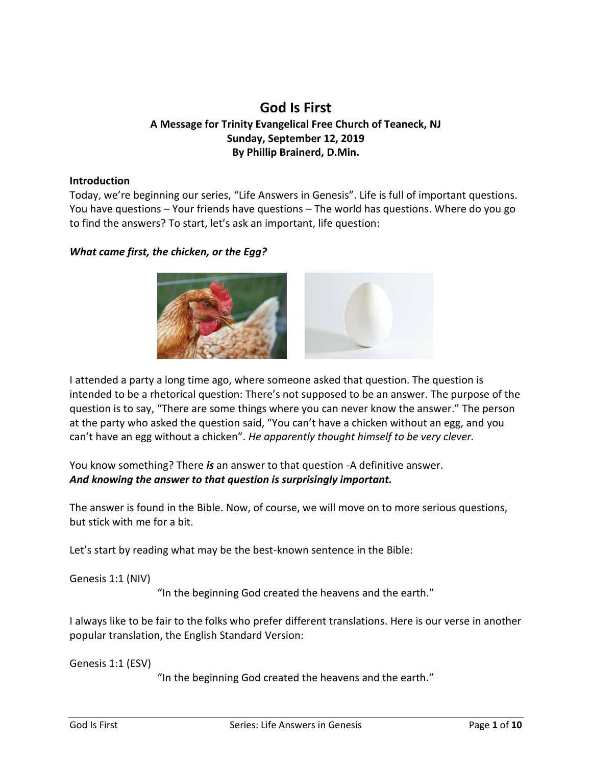# **God Is First A Message for Trinity Evangelical Free Church of Teaneck, NJ Sunday, September 12, 2019 By Phillip Brainerd, D.Min.**

#### **Introduction**

Today, we're beginning our series, "Life Answers in Genesis". Life is full of important questions. You have questions – Your friends have questions – The world has questions. Where do you go to find the answers? To start, let's ask an important, life question:

#### *What came first, the chicken, or the Egg?*



I attended a party a long time ago, where someone asked that question. The question is intended to be a rhetorical question: There's not supposed to be an answer. The purpose of the question is to say, "There are some things where you can never know the answer." The person at the party who asked the question said, "You can't have a chicken without an egg, and you can't have an egg without a chicken". *He apparently thought himself to be very clever.*

You know something? There *is* an answer to that question -A definitive answer. *And knowing the answer to that question is surprisingly important.*

The answer is found in the Bible. Now, of course, we will move on to more serious questions, but stick with me for a bit.

Let's start by reading what may be the best-known sentence in the Bible:

Genesis 1:1 (NIV)

"In the beginning God created the heavens and the earth."

I always like to be fair to the folks who prefer different translations. Here is our verse in another popular translation, the English Standard Version:

Genesis 1:1 (ESV)

"In the beginning God created the heavens and the earth."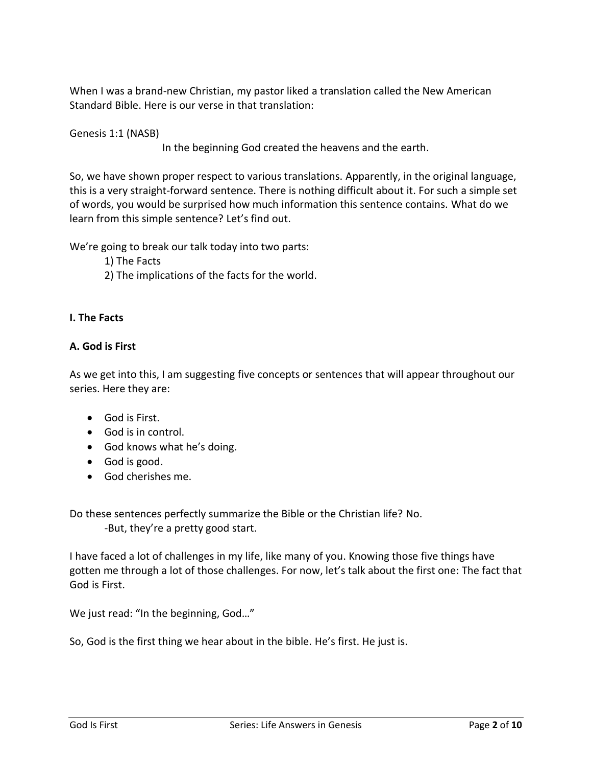When I was a brand-new Christian, my pastor liked a translation called the New American Standard Bible. Here is our verse in that translation:

Genesis 1:1 (NASB)

In the beginning God created the heavens and the earth.

So, we have shown proper respect to various translations. Apparently, in the original language, this is a very straight-forward sentence. There is nothing difficult about it. For such a simple set of words, you would be surprised how much information this sentence contains. What do we learn from this simple sentence? Let's find out.

We're going to break our talk today into two parts:

1) The Facts

2) The implications of the facts for the world.

#### **I. The Facts**

### **A. God is First**

As we get into this, I am suggesting five concepts or sentences that will appear throughout our series. Here they are:

- God is First.
- God is in control.
- God knows what he's doing.
- God is good.
- God cherishes me.

Do these sentences perfectly summarize the Bible or the Christian life? No. -But, they're a pretty good start.

I have faced a lot of challenges in my life, like many of you. Knowing those five things have gotten me through a lot of those challenges. For now, let's talk about the first one: The fact that God is First.

We just read: "In the beginning, God..."

So, God is the first thing we hear about in the bible. He's first. He just is.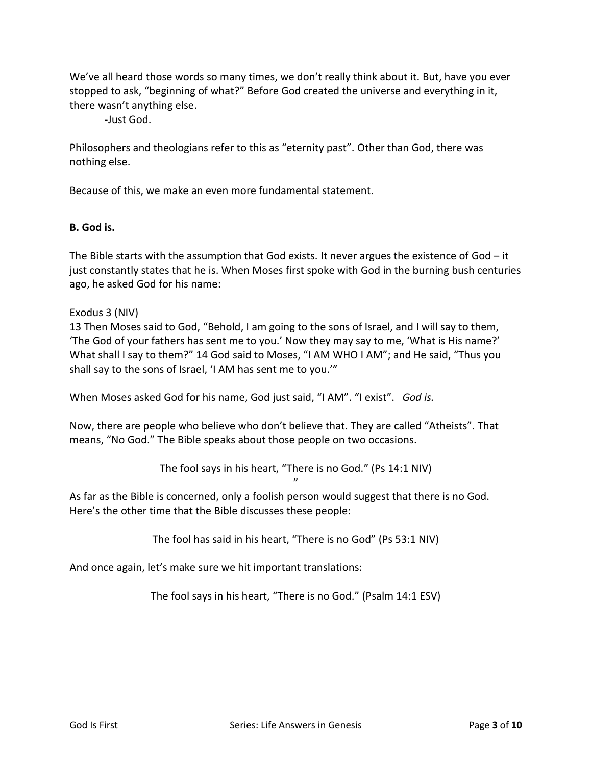We've all heard those words so many times, we don't really think about it. But, have you ever stopped to ask, "beginning of what?" Before God created the universe and everything in it, there wasn't anything else.

-Just God.

Philosophers and theologians refer to this as "eternity past". Other than God, there was nothing else.

Because of this, we make an even more fundamental statement.

### **B. God is.**

The Bible starts with the assumption that God exists. It never argues the existence of God  $-$  it just constantly states that he is. When Moses first spoke with God in the burning bush centuries ago, he asked God for his name:

### Exodus 3 (NIV)

13 Then Moses said to God, "Behold, I am going to the sons of Israel, and I will say to them, 'The God of your fathers has sent me to you.' Now they may say to me, 'What is His name?' What shall I say to them?" 14 God said to Moses, "I AM WHO I AM"; and He said, "Thus you shall say to the sons of Israel, 'I AM has sent me to you.'"

When Moses asked God for his name, God just said, "I AM". "I exist". *God is.*

Now, there are people who believe who don't believe that. They are called "Atheists". That means, "No God." The Bible speaks about those people on two occasions.

> The fool says in his heart, "There is no God." (Ps 14:1 NIV) "

As far as the Bible is concerned, only a foolish person would suggest that there is no God. Here's the other time that the Bible discusses these people:

The fool has said in his heart, "There is no God" (Ps 53:1 NIV)

And once again, let's make sure we hit important translations:

The fool says in his heart, "There is no God." (Psalm 14:1 ESV)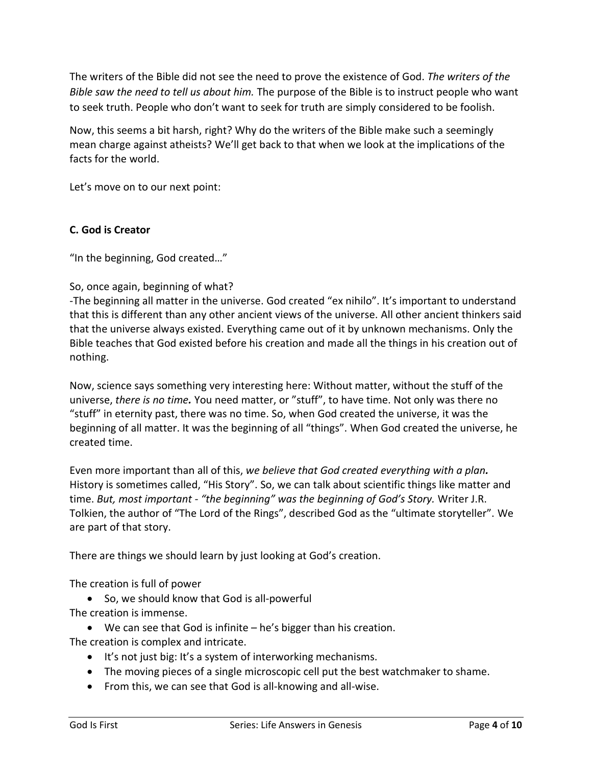The writers of the Bible did not see the need to prove the existence of God. *The writers of the Bible saw the need to tell us about him.* The purpose of the Bible is to instruct people who want to seek truth. People who don't want to seek for truth are simply considered to be foolish.

Now, this seems a bit harsh, right? Why do the writers of the Bible make such a seemingly mean charge against atheists? We'll get back to that when we look at the implications of the facts for the world.

Let's move on to our next point:

## **C. God is Creator**

"In the beginning, God created…"

### So, once again, beginning of what?

-The beginning all matter in the universe. God created "ex nihilo". It's important to understand that this is different than any other ancient views of the universe. All other ancient thinkers said that the universe always existed. Everything came out of it by unknown mechanisms. Only the Bible teaches that God existed before his creation and made all the things in his creation out of nothing.

Now, science says something very interesting here: Without matter, without the stuff of the universe, *there is no time.* You need matter, or "stuff", to have time. Not only was there no "stuff" in eternity past, there was no time. So, when God created the universe, it was the beginning of all matter. It was the beginning of all "things". When God created the universe, he created time.

Even more important than all of this, *we believe that God created everything with a plan.* History is sometimes called, "His Story". So, we can talk about scientific things like matter and time. *But, most important - "the beginning" was the beginning of God's Story.* Writer J.R. Tolkien, the author of "The Lord of the Rings", described God as the "ultimate storyteller". We are part of that story.

There are things we should learn by just looking at God's creation.

The creation is full of power

• So, we should know that God is all-powerful The creation is immense.

• We can see that God is infinite – he's bigger than his creation. The creation is complex and intricate.

- It's not just big: It's a system of interworking mechanisms.
- The moving pieces of a single microscopic cell put the best watchmaker to shame.
- From this, we can see that God is all-knowing and all-wise.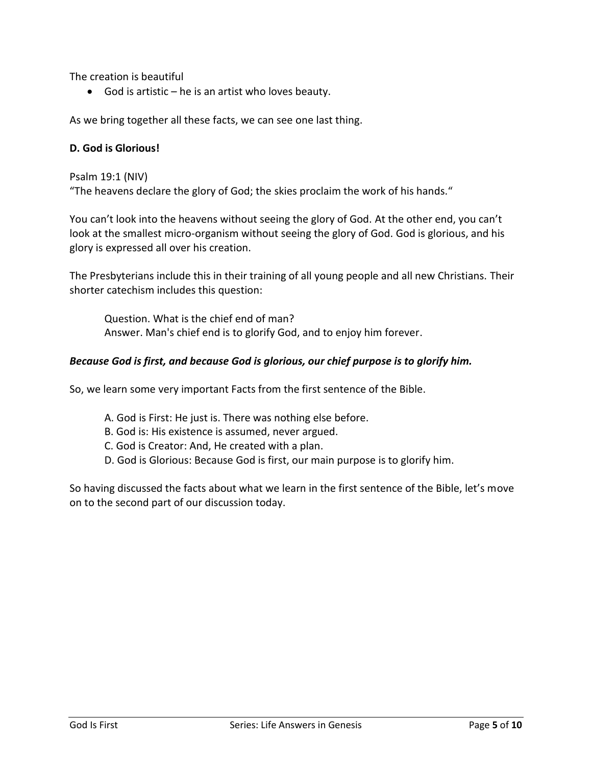The creation is beautiful

• God is artistic – he is an artist who loves beauty.

As we bring together all these facts, we can see one last thing.

#### **D. God is Glorious!**

Psalm 19:1 (NIV)

"The heavens declare the glory of God; the skies proclaim the work of his hands."

You can't look into the heavens without seeing the glory of God. At the other end, you can't look at the smallest micro-organism without seeing the glory of God. God is glorious, and his glory is expressed all over his creation.

The Presbyterians include this in their training of all young people and all new Christians. Their shorter catechism includes this question:

Question. What is the chief end of man? Answer. Man's chief end is to glorify God, and to enjoy him forever.

#### *Because God is first, and because God is glorious, our chief purpose is to glorify him.*

So, we learn some very important Facts from the first sentence of the Bible.

- A. God is First: He just is. There was nothing else before.
- B. God is: His existence is assumed, never argued.
- C. God is Creator: And, He created with a plan.
- D. God is Glorious: Because God is first, our main purpose is to glorify him.

So having discussed the facts about what we learn in the first sentence of the Bible, let's move on to the second part of our discussion today.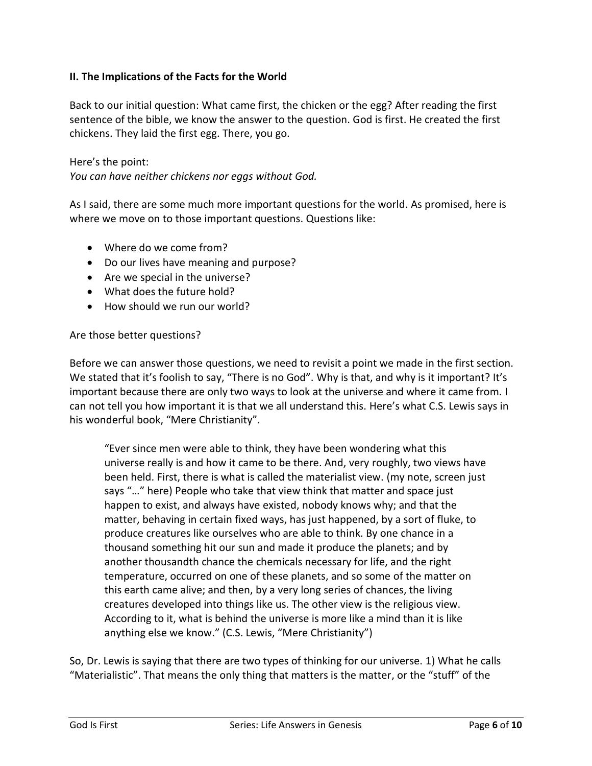### **II. The Implications of the Facts for the World**

Back to our initial question: What came first, the chicken or the egg? After reading the first sentence of the bible, we know the answer to the question. God is first. He created the first chickens. They laid the first egg. There, you go.

Here's the point:

*You can have neither chickens nor eggs without God.*

As I said, there are some much more important questions for the world. As promised, here is where we move on to those important questions. Questions like:

- Where do we come from?
- Do our lives have meaning and purpose?
- Are we special in the universe?
- What does the future hold?
- How should we run our world?

#### Are those better questions?

Before we can answer those questions, we need to revisit a point we made in the first section. We stated that it's foolish to say, "There is no God". Why is that, and why is it important? It's important because there are only two ways to look at the universe and where it came from. I can not tell you how important it is that we all understand this. Here's what C.S. Lewis says in his wonderful book, "Mere Christianity".

"Ever since men were able to think, they have been wondering what this universe really is and how it came to be there. And, very roughly, two views have been held. First, there is what is called the materialist view. (my note, screen just says "…" here) People who take that view think that matter and space just happen to exist, and always have existed, nobody knows why; and that the matter, behaving in certain fixed ways, has just happened, by a sort of fluke, to produce creatures like ourselves who are able to think. By one chance in a thousand something hit our sun and made it produce the planets; and by another thousandth chance the chemicals necessary for life, and the right temperature, occurred on one of these planets, and so some of the matter on this earth came alive; and then, by a very long series of chances, the living creatures developed into things like us. The other view is the religious view. According to it, what is behind the universe is more like a mind than it is like anything else we know." (C.S. Lewis, "Mere Christianity")

So, Dr. Lewis is saying that there are two types of thinking for our universe. 1) What he calls "Materialistic". That means the only thing that matters is the matter, or the "stuff" of the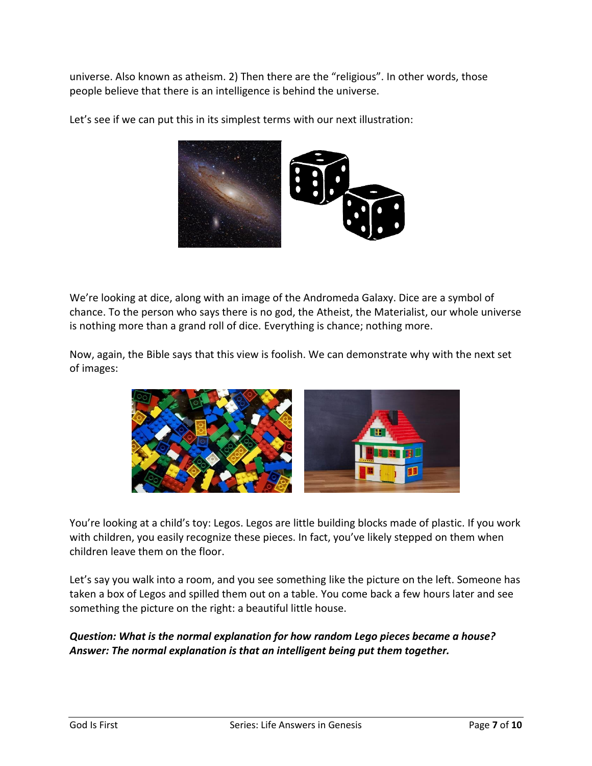universe. Also known as atheism. 2) Then there are the "religious". In other words, those people believe that there is an intelligence is behind the universe.



Let's see if we can put this in its simplest terms with our next illustration:

We're looking at dice, along with an image of the Andromeda Galaxy. Dice are a symbol of chance. To the person who says there is no god, the Atheist, the Materialist, our whole universe is nothing more than a grand roll of dice. Everything is chance; nothing more.

Now, again, the Bible says that this view is foolish. We can demonstrate why with the next set of images:



You're looking at a child's toy: Legos. Legos are little building blocks made of plastic. If you work with children, you easily recognize these pieces. In fact, you've likely stepped on them when children leave them on the floor.

Let's say you walk into a room, and you see something like the picture on the left. Someone has taken a box of Legos and spilled them out on a table. You come back a few hours later and see something the picture on the right: a beautiful little house.

*Question: What is the normal explanation for how random Lego pieces became a house? Answer: The normal explanation is that an intelligent being put them together.*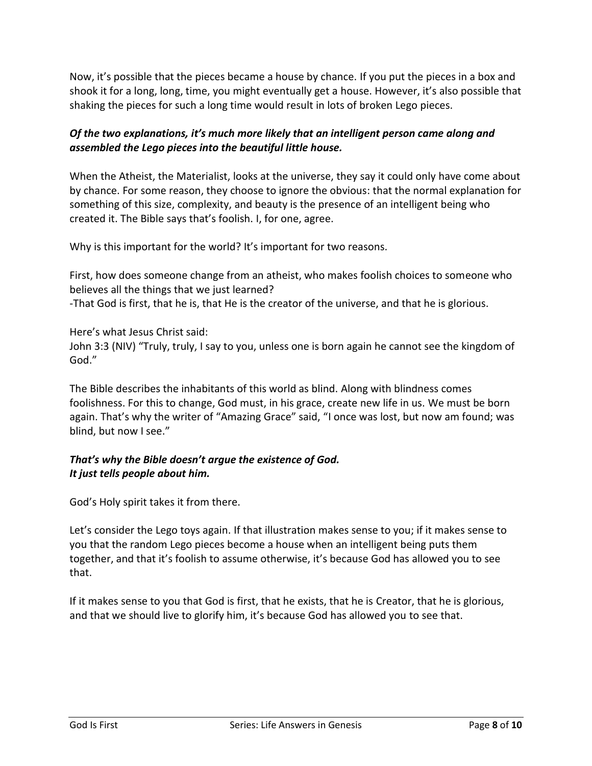Now, it's possible that the pieces became a house by chance. If you put the pieces in a box and shook it for a long, long, time, you might eventually get a house. However, it's also possible that shaking the pieces for such a long time would result in lots of broken Lego pieces.

# *Of the two explanations, it's much more likely that an intelligent person came along and assembled the Lego pieces into the beautiful little house.*

When the Atheist, the Materialist, looks at the universe, they say it could only have come about by chance. For some reason, they choose to ignore the obvious: that the normal explanation for something of this size, complexity, and beauty is the presence of an intelligent being who created it. The Bible says that's foolish. I, for one, agree.

Why is this important for the world? It's important for two reasons.

First, how does someone change from an atheist, who makes foolish choices to someone who believes all the things that we just learned?

-That God is first, that he is, that He is the creator of the universe, and that he is glorious.

Here's what Jesus Christ said: John 3:3 (NIV) "Truly, truly, I say to you, unless one is born again he cannot see the kingdom of God."

The Bible describes the inhabitants of this world as blind. Along with blindness comes foolishness. For this to change, God must, in his grace, create new life in us. We must be born again. That's why the writer of "Amazing Grace" said, "I once was lost, but now am found; was blind, but now I see."

## *That's why the Bible doesn't argue the existence of God. It just tells people about him.*

God's Holy spirit takes it from there.

Let's consider the Lego toys again. If that illustration makes sense to you; if it makes sense to you that the random Lego pieces become a house when an intelligent being puts them together, and that it's foolish to assume otherwise, it's because God has allowed you to see that.

If it makes sense to you that God is first, that he exists, that he is Creator, that he is glorious, and that we should live to glorify him, it's because God has allowed you to see that.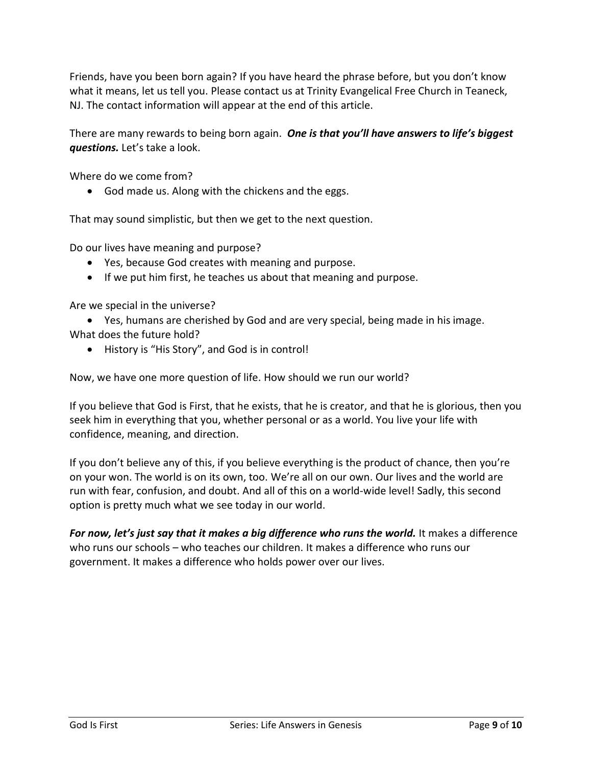Friends, have you been born again? If you have heard the phrase before, but you don't know what it means, let us tell you. Please contact us at Trinity Evangelical Free Church in Teaneck, NJ. The contact information will appear at the end of this article.

There are many rewards to being born again. *One is that you'll have answers to life's biggest questions.* Let's take a look.

Where do we come from?

• God made us. Along with the chickens and the eggs.

That may sound simplistic, but then we get to the next question.

Do our lives have meaning and purpose?

- Yes, because God creates with meaning and purpose.
- If we put him first, he teaches us about that meaning and purpose.

Are we special in the universe?

• Yes, humans are cherished by God and are very special, being made in his image.

What does the future hold?

• History is "His Story", and God is in control!

Now, we have one more question of life. How should we run our world?

If you believe that God is First, that he exists, that he is creator, and that he is glorious, then you seek him in everything that you, whether personal or as a world. You live your life with confidence, meaning, and direction.

If you don't believe any of this, if you believe everything is the product of chance, then you're on your won. The world is on its own, too. We're all on our own. Our lives and the world are run with fear, confusion, and doubt. And all of this on a world-wide level! Sadly, this second option is pretty much what we see today in our world.

*For now, let's just say that it makes a big difference who runs the world.* It makes a difference who runs our schools – who teaches our children. It makes a difference who runs our government. It makes a difference who holds power over our lives.